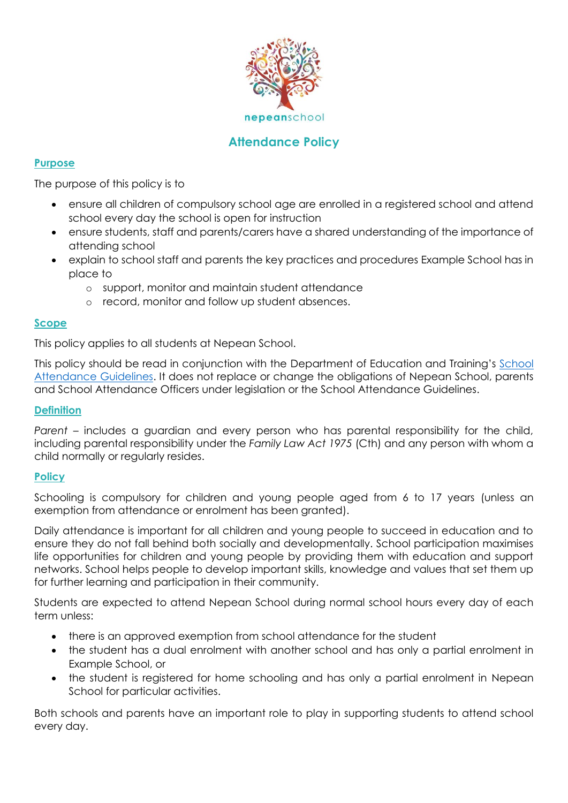

# **Attendance Policy**

### **Purpose**

The purpose of this policy is to

- ensure all children of compulsory school age are enrolled in a registered school and attend school every day the school is open for instruction
- ensure students, staff and parents/carers have a shared understanding of the importance of attending school
- explain to school staff and parents the key practices and procedures Example School has in place to
	- o support, monitor and maintain student attendance
	- o record, monitor and follow up student absences.

#### **Scope**

This policy applies to all students at Nepean School.

This policy should be read in conjunction with the Department of Education and Training's [School](http://www.education.vic.gov.au/school/teachers/studentmanagement/Pages/attendance.aspx)  [Attendance Guidelines.](http://www.education.vic.gov.au/school/teachers/studentmanagement/Pages/attendance.aspx) It does not replace or change the obligations of Nepean School, parents and School Attendance Officers under legislation or the School Attendance Guidelines.

#### **Definition**

*Parent* – includes a guardian and every person who has parental responsibility for the child, including parental responsibility under the *Family Law Act 1975* (Cth) and any person with whom a child normally or regularly resides.

#### **Policy**

Schooling is compulsory for children and young people aged from 6 to 17 years (unless an exemption from attendance or enrolment has been granted).

Daily attendance is important for all children and young people to succeed in education and to ensure they do not fall behind both socially and developmentally. School participation maximises life opportunities for children and young people by providing them with education and support networks. School helps people to develop important skills, knowledge and values that set them up for further learning and participation in their community.

Students are expected to attend Nepean School during normal school hours every day of each term unless:

- there is an approved exemption from school attendance for the student
- the student has a dual enrolment with another school and has only a partial enrolment in Example School, or
- the student is registered for home schooling and has only a partial enrolment in Nepean School for particular activities.

Both schools and parents have an important role to play in supporting students to attend school every day.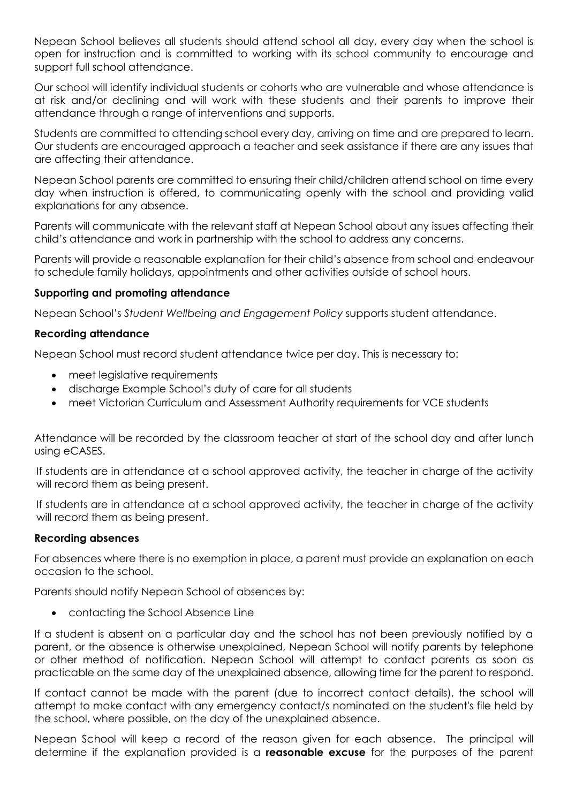Nepean School believes all students should attend school all day, every day when the school is open for instruction and is committed to working with its school community to encourage and support full school attendance.

Our school will identify individual students or cohorts who are vulnerable and whose attendance is at risk and/or declining and will work with these students and their parents to improve their attendance through a range of interventions and supports.

Students are committed to attending school every day, arriving on time and are prepared to learn. Our students are encouraged approach a teacher and seek assistance if there are any issues that are affecting their attendance.

Nepean School parents are committed to ensuring their child/children attend school on time every day when instruction is offered, to communicating openly with the school and providing valid explanations for any absence.

Parents will communicate with the relevant staff at Nepean School about any issues affecting their child's attendance and work in partnership with the school to address any concerns.

Parents will provide a reasonable explanation for their child's absence from school and endeavour to schedule family holidays, appointments and other activities outside of school hours.

# **Supporting and promoting attendance**

Nepean School's *Student Wellbeing and Engagement Policy* supports student attendance.

# **Recording attendance**

Nepean School must record student attendance twice per day. This is necessary to:

- meet legislative requirements
- discharge Example School's duty of care for all students
- meet Victorian Curriculum and Assessment Authority requirements for VCE students

Attendance will be recorded by the classroom teacher at start of the school day and after lunch using eCASES.

If students are in attendance at a school approved activity, the teacher in charge of the activity will record them as being present.

If students are in attendance at a school approved activity, the teacher in charge of the activity will record them as being present.

### **Recording absences**

For absences where there is no exemption in place, a parent must provide an explanation on each occasion to the school.

Parents should notify Nepean School of absences by:

contacting the School Absence Line

If a student is absent on a particular day and the school has not been previously notified by a parent, or the absence is otherwise unexplained, Nepean School will notify parents by telephone or other method of notification. Nepean School will attempt to contact parents as soon as practicable on the same day of the unexplained absence, allowing time for the parent to respond.

If contact cannot be made with the parent (due to incorrect contact details), the school will attempt to make contact with any emergency contact/s nominated on the student's file held by the school, where possible, on the day of the unexplained absence.

Nepean School will keep a record of the reason given for each absence. The principal will determine if the explanation provided is a **reasonable excuse** for the purposes of the parent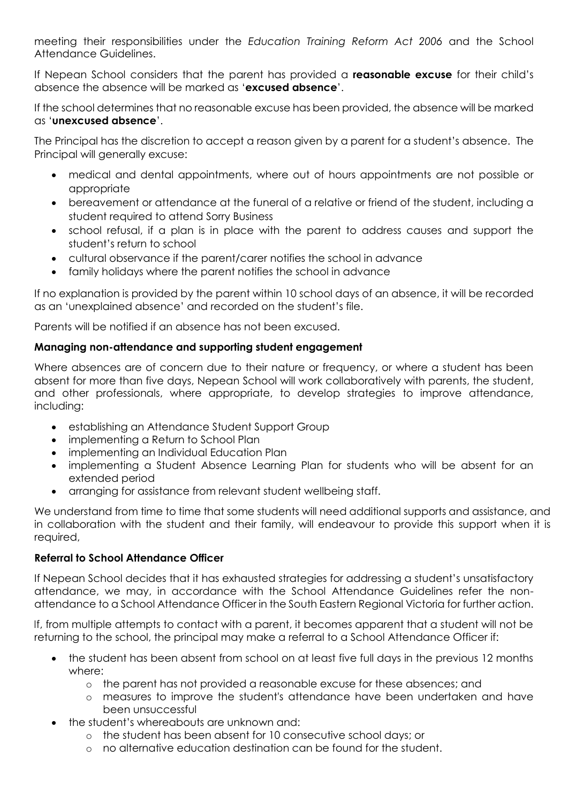meeting their responsibilities under the *Education Training Reform Act 2006* and the School Attendance Guidelines.

If Nepean School considers that the parent has provided a **reasonable excuse** for their child's absence the absence will be marked as '**excused absence**'.

If the school determines that no reasonable excuse has been provided, the absence will be marked as '**unexcused absence**'.

The Principal has the discretion to accept a reason given by a parent for a student's absence. The Principal will generally excuse:

- medical and dental appointments, where out of hours appointments are not possible or appropriate
- bereavement or attendance at the funeral of a relative or friend of the student, including a student required to attend Sorry Business
- school refusal, if a plan is in place with the parent to address causes and support the student's return to school
- cultural observance if the parent/carer notifies the school in advance
- family holidays where the parent notifies the school in advance

If no explanation is provided by the parent within 10 school days of an absence, it will be recorded as an 'unexplained absence' and recorded on the student's file.

Parents will be notified if an absence has not been excused.

# **Managing non-attendance and supporting student engagement**

Where absences are of concern due to their nature or frequency, or where a student has been absent for more than five days, Nepean School will work collaboratively with parents, the student, and other professionals, where appropriate, to develop strategies to improve attendance, including:

- establishing an Attendance Student Support Group
- implementing a Return to School Plan
- implementing an Individual Education Plan
- implementing a Student Absence Learning Plan for students who will be absent for an extended period
- arranging for assistance from relevant student wellbeing staff.

We understand from time to time that some students will need additional supports and assistance, and in collaboration with the student and their family, will endeavour to provide this support when it is required,

# **Referral to School Attendance Officer**

If Nepean School decides that it has exhausted strategies for addressing a student's unsatisfactory attendance, we may, in accordance with the School Attendance Guidelines refer the nonattendance to a School Attendance Officer in the South Eastern Regional Victoria for further action.

If, from multiple attempts to contact with a parent, it becomes apparent that a student will not be returning to the school, the principal may make a referral to a School Attendance Officer if:

- the student has been absent from school on at least five full days in the previous 12 months where:
	- o the parent has not provided a reasonable excuse for these absences; and
	- o measures to improve the student's attendance have been undertaken and have been unsuccessful
- the student's whereabouts are unknown and:
	- o the student has been absent for 10 consecutive school days; or
	- o no alternative education destination can be found for the student.